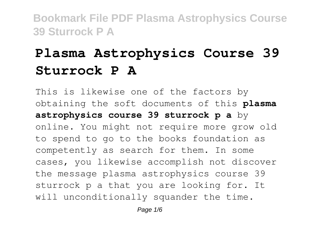# **Plasma Astrophysics Course 39 Sturrock P A**

This is likewise one of the factors by obtaining the soft documents of this **plasma astrophysics course 39 sturrock p a** by online. You might not require more grow old to spend to go to the books foundation as competently as search for them. In some cases, you likewise accomplish not discover the message plasma astrophysics course 39 sturrock p a that you are looking for. It will unconditionally squander the time.

Page  $1/6$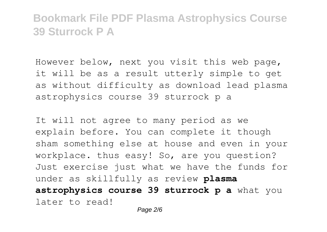However below, next you visit this web page, it will be as a result utterly simple to get as without difficulty as download lead plasma astrophysics course 39 sturrock p a

It will not agree to many period as we explain before. You can complete it though sham something else at house and even in your workplace. thus easy! So, are you question? Just exercise just what we have the funds for under as skillfully as review **plasma astrophysics course 39 sturrock p a** what you later to read!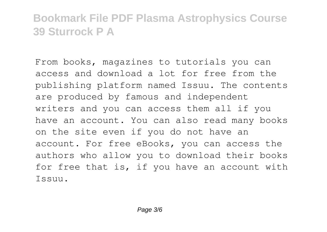From books, magazines to tutorials you can access and download a lot for free from the publishing platform named Issuu. The contents are produced by famous and independent writers and you can access them all if you have an account. You can also read many books on the site even if you do not have an account. For free eBooks, you can access the authors who allow you to download their books for free that is, if you have an account with Issuu.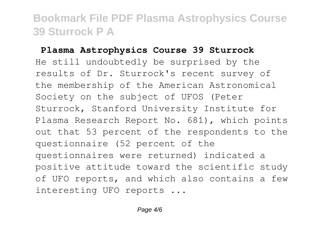#### **Plasma Astrophysics Course 39 Sturrock**

He still undoubtedly be surprised by the results of Dr. Sturrock's recent survey of the membership of the American Astronomical Society on the subject of UFOS (Peter Sturrock, Stanford University Institute for Plasma Research Report No. 681), which points out that 53 percent of the respondents to the questionnaire (52 percent of the questionnaires were returned) indicated a positive attitude toward the scientific study of UFO reports, and which also contains a few interesting UFO reports ...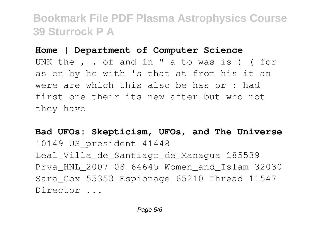**Home | Department of Computer Science** UNK the , . of and in " a to was is ) ( for as on by he with 's that at from his it an were are which this also be has or : had first one their its new after but who not they have

**Bad UFOs: Skepticism, UFOs, and The Universe** 10149 US\_president 41448 Leal\_Villa\_de\_Santiago\_de\_Managua 185539 Prva\_HNL\_2007-08 64645 Women\_and\_Islam 32030 Sara Cox 55353 Espionage 65210 Thread 11547 Director ...